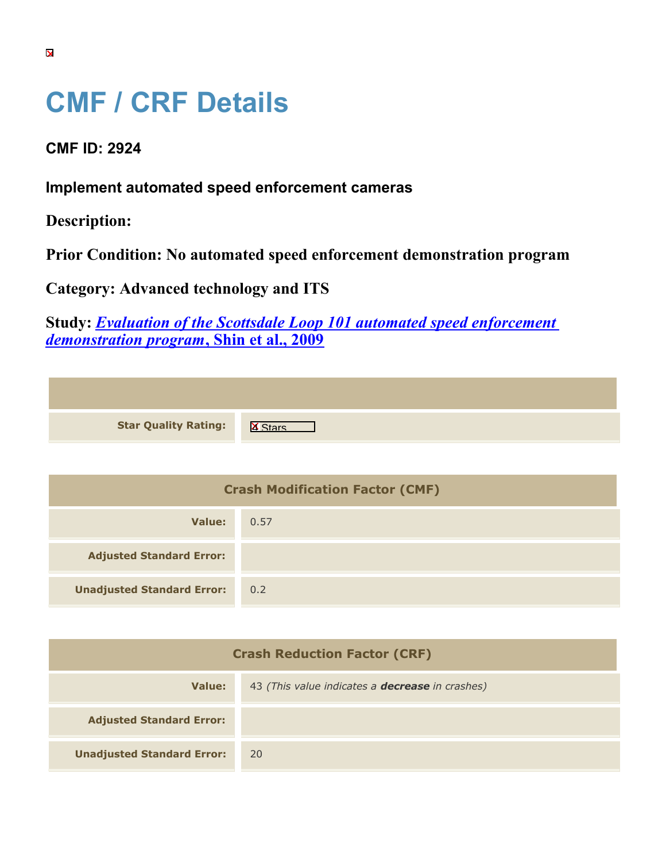## **CMF / CRF Details**

**CMF ID: 2924**

**Implement automated speed enforcement cameras**

**Description:** 

**Prior Condition: No automated speed enforcement demonstration program**

**Category: Advanced technology and ITS**

**Study:** *[Evaluation of the Scottsdale Loop 101 automated speed enforcement](https://cmfclearinghouse.org/study_detail.cfm?stid=195) [demonstration program](https://cmfclearinghouse.org/study_detail.cfm?stid=195)***[, Shin et al., 2009](https://cmfclearinghouse.org/study_detail.cfm?stid=195)**

| <b>Star Quality Rating:</b> | $\overline{\mathbf{x}}$ |
|-----------------------------|-------------------------|

| <b>Crash Modification Factor (CMF)</b> |      |
|----------------------------------------|------|
| Value:                                 | 0.57 |
| <b>Adjusted Standard Error:</b>        |      |
| <b>Unadjusted Standard Error:</b>      | 0.2  |

| <b>Crash Reduction Factor (CRF)</b> |                                                        |
|-------------------------------------|--------------------------------------------------------|
| Value:                              | 43 (This value indicates a <b>decrease</b> in crashes) |
| <b>Adjusted Standard Error:</b>     |                                                        |
| <b>Unadjusted Standard Error:</b>   | <b>20</b>                                              |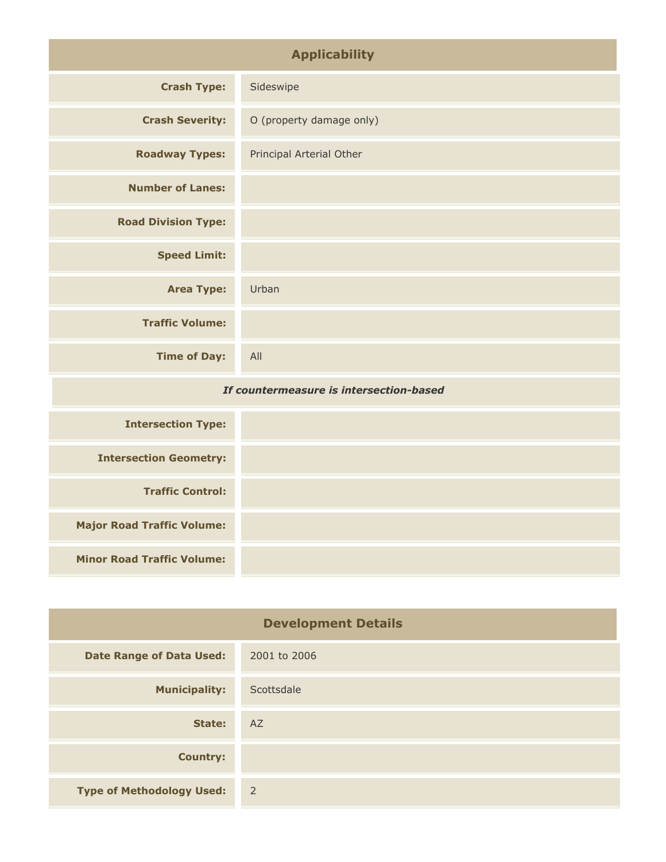| <b>Applicability</b>                    |                          |
|-----------------------------------------|--------------------------|
| <b>Crash Type:</b>                      | Sideswipe                |
| <b>Crash Severity:</b>                  | O (property damage only) |
| <b>Roadway Types:</b>                   | Principal Arterial Other |
| <b>Number of Lanes:</b>                 |                          |
| <b>Road Division Type:</b>              |                          |
| <b>Speed Limit:</b>                     |                          |
| <b>Area Type:</b>                       | Urban                    |
| <b>Traffic Volume:</b>                  |                          |
| <b>Time of Day:</b>                     | All                      |
| If countermeasure is intersection-based |                          |

| <b>Intersection Type:</b>         |  |
|-----------------------------------|--|
| <b>Intersection Geometry:</b>     |  |
| <b>Traffic Control:</b>           |  |
| <b>Major Road Traffic Volume:</b> |  |
| <b>Minor Road Traffic Volume:</b> |  |

| <b>Development Details</b>       |                |
|----------------------------------|----------------|
| <b>Date Range of Data Used:</b>  | 2001 to 2006   |
| <b>Municipality:</b>             | Scottsdale     |
| State:                           | AZ             |
| <b>Country:</b>                  |                |
| <b>Type of Methodology Used:</b> | $\overline{2}$ |